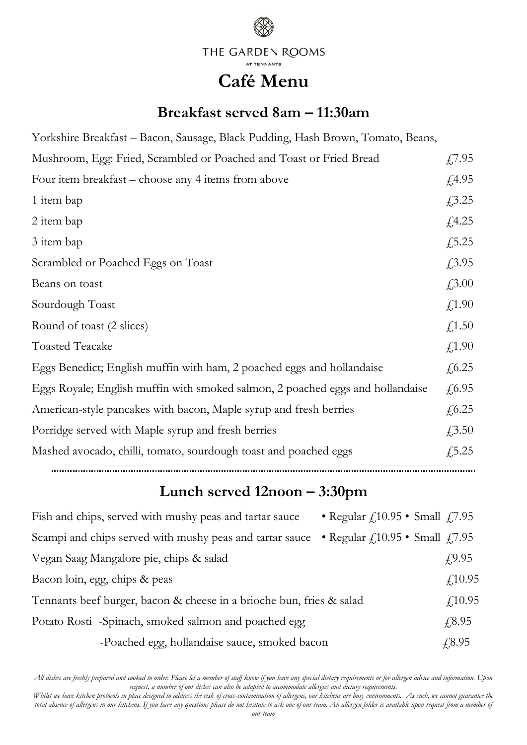

## **Café Menu**

## **Breakfast served 8am – 11:30am**

| Yorkshire Breakfast – Bacon, Sausage, Black Pudding, Hash Brown, Tomato, Beans, |               |
|---------------------------------------------------------------------------------|---------------|
| Mushroom, Egg: Fried, Scrambled or Poached and Toast or Fried Bread             | £7.95         |
| Four item breakfast – choose any 4 items from above                             | $\sqrt{4.95}$ |
| 1 item bap                                                                      | £3.25         |
| 2 item bap                                                                      | f(4.25)       |
| 3 item bap                                                                      | £,5.25        |
| Scrambled or Poached Eggs on Toast                                              | £3.95         |
| Beans on toast                                                                  | £3.00         |
| Sourdough Toast                                                                 | f(1.90)       |
| Round of toast (2 slices)                                                       | f(1.50)       |
| <b>Toasted Teacake</b>                                                          | f(1.90)       |
| Eggs Benedict; English muffin with ham, 2 poached eggs and hollandaise          | f(6.25)       |
| Eggs Royale; English muffin with smoked salmon, 2 poached eggs and hollandaise  | f(6.95)       |
| American-style pancakes with bacon, Maple syrup and fresh berries               | f(6.25)       |
| Porridge served with Maple syrup and fresh berries                              | $\sqrt{3.50}$ |
| Mashed avocado, chilli, tomato, sourdough toast and poached eggs                | f(5.25)       |
|                                                                                 |               |

## **Lunch served 12noon – 3:30pm**

| Fish and chips, served with mushy peas and tartar sauce                                         | • Regular $f_{.}10.95$ • Small $f_{.}7.95$ |                |
|-------------------------------------------------------------------------------------------------|--------------------------------------------|----------------|
| Scampi and chips served with mushy peas and tartar sauce • Regular $f_110.95$ • Small $f_17.95$ |                                            |                |
| Vegan Saag Mangalore pie, chips & salad                                                         |                                            | £9.95          |
| Bacon loin, egg, chips & peas                                                                   |                                            | f(10.95)       |
| Tennants beef burger, bacon & cheese in a brioche bun, fries & salad                            |                                            | f(10.95)       |
| Potato Rosti -Spinach, smoked salmon and poached egg                                            |                                            | $\sqrt{.8.95}$ |
| -Poached egg, hollandaise sauce, smoked bacon                                                   |                                            | £8.95          |

*All dishes are freshly prepared and cooked to order. Please let a member of staff know if you have any special dietary requirements or for allergen advice and information. Upon request, a number of our dishes can also be adapted to accommodate allergies and dietary requirements.*

*Whilst we have kitchen protocols in place designed to address the risk of cross-contamination of allergens, our kitchens are busy environments. As such, we cannot guarantee the total absence of allergens in our kitchens. If you have any questions please do not hesitate to ask one of our team. An allergen folder is available upon request from a member of our team*